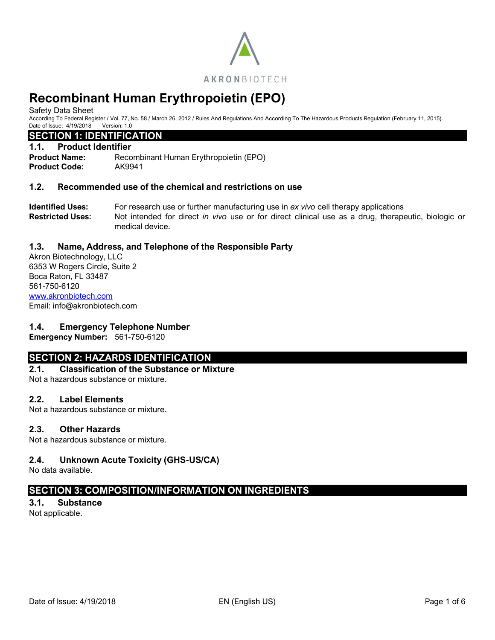

Safety Data Sheet

According To Federal Register / Vol. 77, No. 58 / March 26, 2012 / Rules And Regulations And According To The Hazardous Products Regulation (February 11, 2015). Date of Issue: 4/19/2018 Version: 1.0

## **SECTION 1: IDENTIFICATION**

### **1.1. Product Identifier**

**Product Name:** Recombinant Human Erythropoietin (EPO) **Product Code:** AK9941

## **1.2. Recommended use of the chemical and restrictions on use**

**Identified Uses:** For research use or further manufacturing use in *ex vivo* cell therapy applications **Restricted Uses:** Not intended for direct *in vivo* use or for direct clinical use as a drug, therapeutic, biologic or medical device.

## **1.3. Name, Address, and Telephone of the Responsible Party**

Akron Biotechnology, LLC 6353 W Rogers Circle, Suite 2 Boca Raton, FL 33487 561-750-6120 [www.akronbiotech.com](http://www.akronbiotech.com/%3c/a) Email: info@akronbiotech.com

## **1.4. Emergency Telephone Number**

**Emergency Number:** 561-750-6120

## **SECTION 2: HAZARDS IDENTIFICATION**

# **2.1. Classification of the Substance or Mixture**

Not a hazardous substance or mixture.

## **2.2. Label Elements**

Not a hazardous substance or mixture.

## **2.3. Other Hazards**

Not a hazardous substance or mixture.

## **2.4. Unknown Acute Toxicity (GHS-US/CA)**

No data available.

## **SECTION 3: COMPOSITION/INFORMATION ON INGREDIENTS**

## **3.1. Substance**

Not applicable.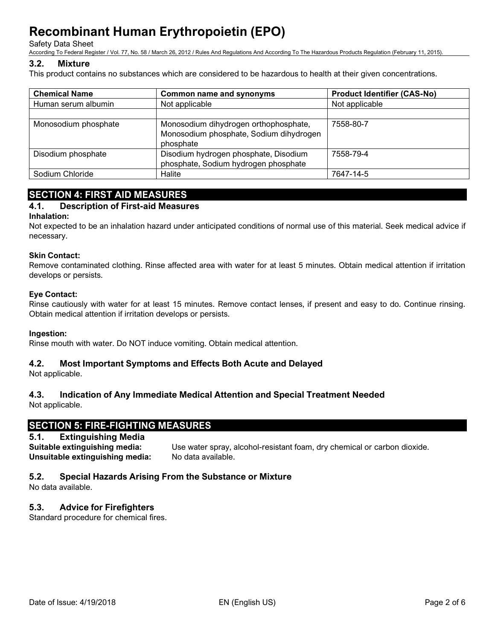Safety Data Sheet

According To Federal Register / Vol. 77, No. 58 / March 26, 2012 / Rules And Regulations And According To The Hazardous Products Regulation (February 11, 2015).

## **3.2. Mixture**

This product contains no substances which are considered to be hazardous to health at their given concentrations.

| <b>Chemical Name</b> | <b>Common name and synonyms</b>                                                               | <b>Product Identifier (CAS-No)</b> |  |
|----------------------|-----------------------------------------------------------------------------------------------|------------------------------------|--|
| Human serum albumin  | Not applicable                                                                                | Not applicable                     |  |
|                      |                                                                                               |                                    |  |
| Monosodium phosphate | Monosodium dihydrogen orthophosphate,<br>Monosodium phosphate, Sodium dihydrogen<br>phosphate | 7558-80-7                          |  |
| Disodium phosphate   | Disodium hydrogen phosphate, Disodium<br>phosphate, Sodium hydrogen phosphate                 | 7558-79-4                          |  |
| Sodium Chloride      | Halite                                                                                        | 7647-14-5                          |  |

# **SECTION 4: FIRST AID MEASURES**

## **4.1. Description of First-aid Measures**

### **Inhalation:**

Not expected to be an inhalation hazard under anticipated conditions of normal use of this material. Seek medical advice if necessary.

### **Skin Contact:**

Remove contaminated clothing. Rinse affected area with water for at least 5 minutes. Obtain medical attention if irritation develops or persists.

## **Eye Contact:**

Rinse cautiously with water for at least 15 minutes. Remove contact lenses, if present and easy to do. Continue rinsing. Obtain medical attention if irritation develops or persists.

### **Ingestion:**

Rinse mouth with water. Do NOT induce vomiting. Obtain medical attention.

## **4.2. Most Important Symptoms and Effects Both Acute and Delayed**

Not applicable.

## **4.3. Indication of Any Immediate Medical Attention and Special Treatment Needed**

Not applicable.

## **SECTION 5: FIRE-FIGHTING MEASURES**

## **5.1. Extinguishing Media**

**Suitable extinguishing media:** Use water spray, alcohol-resistant foam, dry chemical or carbon dioxide. **Unsuitable extinguishing media:** No data available.

## **5.2. Special Hazards Arising From the Substance or Mixture**

No data available.

## **5.3. Advice for Firefighters**

Standard procedure for chemical fires.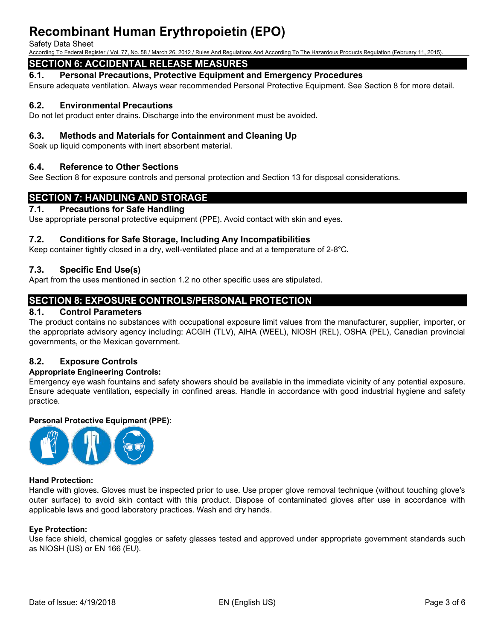#### Safety Data Sheet

According To Federal Register / Vol. 77, No. 58 / March 26, 2012 / Rules And Regulations And According To The Hazardous Products Regulation (February 11, 2015).

# **SECTION 6: ACCIDENTAL RELEASE MEASURES**

### **6.1. Personal Precautions, Protective Equipment and Emergency Procedures**

Ensure adequate ventilation. Always wear recommended Personal Protective Equipment. See Section 8 for more detail.

## **6.2. Environmental Precautions**

Do not let product enter drains. Discharge into the environment must be avoided.

### **6.3. Methods and Materials for Containment and Cleaning Up**

Soak up liquid components with inert absorbent material.

### **6.4. Reference to Other Sections**

See Section 8 for exposure controls and personal protection and Section 13 for disposal considerations.

## **SECTION 7: HANDLING AND STORAGE**

### **7.1. Precautions for Safe Handling**

Use appropriate personal protective equipment (PPE). Avoid contact with skin and eyes.

### **7.2. Conditions for Safe Storage, Including Any Incompatibilities**

Keep container tightly closed in a dry, well-ventilated place and at a temperature of 2-8°C.

## **7.3. Specific End Use(s)**

Apart from the uses mentioned in section 1.2 no other specific uses are stipulated.

## **SECTION 8: EXPOSURE CONTROLS/PERSONAL PROTECTION**

### **8.1. Control Parameters**

The product contains no substances with occupational exposure limit values from the manufacturer, supplier, importer, or the appropriate advisory agency including: ACGIH (TLV), AIHA (WEEL), NIOSH (REL), OSHA (PEL), Canadian provincial governments, or the Mexican government.

## **8.2. Exposure Controls**

### **Appropriate Engineering Controls:**

Emergency eye wash fountains and safety showers should be available in the immediate vicinity of any potential exposure. Ensure adequate ventilation, especially in confined areas. Handle in accordance with good industrial hygiene and safety practice.

### **Personal Protective Equipment (PPE):**



### **Hand Protection:**

Handle with gloves. Gloves must be inspected prior to use. Use proper glove removal technique (without touching glove's outer surface) to avoid skin contact with this product. Dispose of contaminated gloves after use in accordance with applicable laws and good laboratory practices. Wash and dry hands.

### **Eye Protection:**

Use face shield, chemical goggles or safety glasses tested and approved under appropriate government standards such as NIOSH (US) or EN 166 (EU).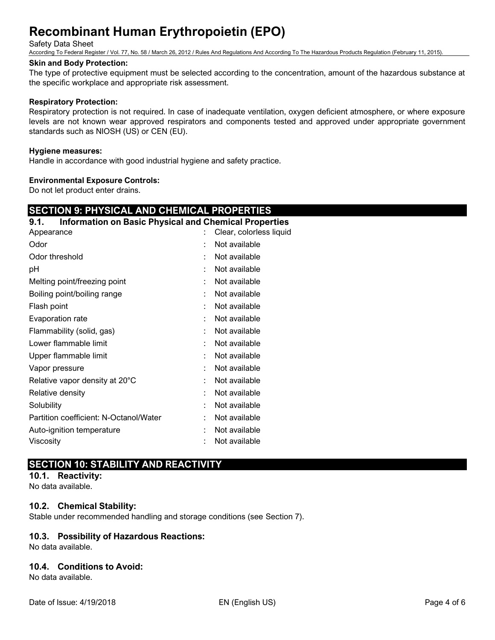### Safety Data Sheet

According To Federal Register / Vol. 77, No. 58 / March 26, 2012 / Rules And Regulations And According To The Hazardous Products Regulation (February 11, 2015).

### **Skin and Body Protection:**

The type of protective equipment must be selected according to the concentration, amount of the hazardous substance at the specific workplace and appropriate risk assessment.

### **Respiratory Protection:**

Respiratory protection is not required. In case of inadequate ventilation, oxygen deficient atmosphere, or where exposure levels are not known wear approved respirators and components tested and approved under appropriate government standards such as NIOSH (US) or CEN (EU).

### **Hygiene measures:**

Handle in accordance with good industrial hygiene and safety practice.

### **Environmental Exposure Controls:**

Do not let product enter drains.

## **SECTION 9: PHYSICAL AND CHEMICAL PROPERTIES**

# **9.1. Information on Basic Physical and Chemical Properties** Appearance : Clear, colorless liquid Odor : Not available : Not available Odor threshold : Not available : pH : Not available Melting point/freezing point in the same in the Not available Boiling point/boiling range **in the set of the set of the set of the set of the set of the set of the set of the set of the set of the set of the set of the set of the set of the set of the set of the set of the set of the** Flash point **in the case of the case of the case of the case of the case of the case of the case of the case of the case of the case of the case of the case of the case of the case of the case of the case of the case of th** Evaporation rate in the set of the set of the set of the set of the set of the set of the set of the set of the set of the set of the set of the set of the set of the set of the set of the set of the set of the set of the Flammability (solid, gas) : Not available Lower flammable limit **interest and the Contract Contract Contract Contract Contract Contract Contract Contract Contract Contract Contract Contract Contract Contract Contract Contract Contract Contract Contract Contract Co** Upper flammable limit in the state of the state of the Upper flammable limit Vapor pressure in the set of the set of the set of the Vapor pressure in the set of the set of the Vapor set o Relative vapor density at 20°C : Not available Relative density **Example 20** and  $\overline{R}$  and  $\overline{R}$  are  $\overline{R}$  . Not available Solubility : Not available Partition coefficient: N-Octanol/Water : Not available Auto-ignition temperature : Not available Viscosity : Not available

## **SECTION 10: STABILITY AND REACTIVITY**

# **10.1. Reactivity:**

No data available.

## **10.2. Chemical Stability:**

Stable under recommended handling and storage conditions (see Section 7).

## **10.3. Possibility of Hazardous Reactions:**

No data available.

## **10.4. Conditions to Avoid:**

No data available.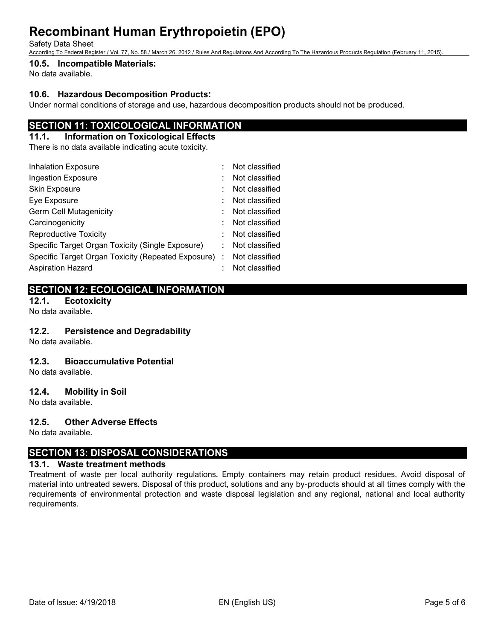#### Safety Data Sheet

According To Federal Register / Vol. 77, No. 58 / March 26, 2012 / Rules And Regulations And According To The Hazardous Products Regulation (February 11, 2015).

### **10.5. Incompatible Materials:**

No data available.

## **10.6. Hazardous Decomposition Products:**

Under normal conditions of storage and use, hazardous decomposition products should not be produced.

## **SECTION 11: TOXICOLOGICAL INFORMATION**

## **11.1. Information on Toxicological Effects**

There is no data available indicating acute toxicity.

| <b>Inhalation Exposure</b>                           |  | Not classified |
|------------------------------------------------------|--|----------------|
| Ingestion Exposure                                   |  | Not classified |
| Skin Exposure                                        |  | Not classified |
| Eye Exposure                                         |  | Not classified |
| <b>Germ Cell Mutagenicity</b>                        |  | Not classified |
| Carcinogenicity                                      |  | Not classified |
| <b>Reproductive Toxicity</b>                         |  | Not classified |
| Specific Target Organ Toxicity (Single Exposure)     |  | Not classified |
| Specific Target Organ Toxicity (Repeated Exposure) : |  | Not classified |
| <b>Aspiration Hazard</b>                             |  | Not classified |

# **SECTION 12: ECOLOGICAL INFORMATION**

**12.1. Ecotoxicity**

## No data available.

## **12.2. Persistence and Degradability**

No data available.

## **12.3. Bioaccumulative Potential**

No data available.

## **12.4. Mobility in Soil**

No data available.

## **12.5. Other Adverse Effects**

No data available.

## **SECTION 13: DISPOSAL CONSIDERATIONS**

## **13.1. Waste treatment methods**

Treatment of waste per local authority regulations. Empty containers may retain product residues. Avoid disposal of material into untreated sewers. Disposal of this product, solutions and any by-products should at all times comply with the requirements of environmental protection and waste disposal legislation and any regional, national and local authority requirements.